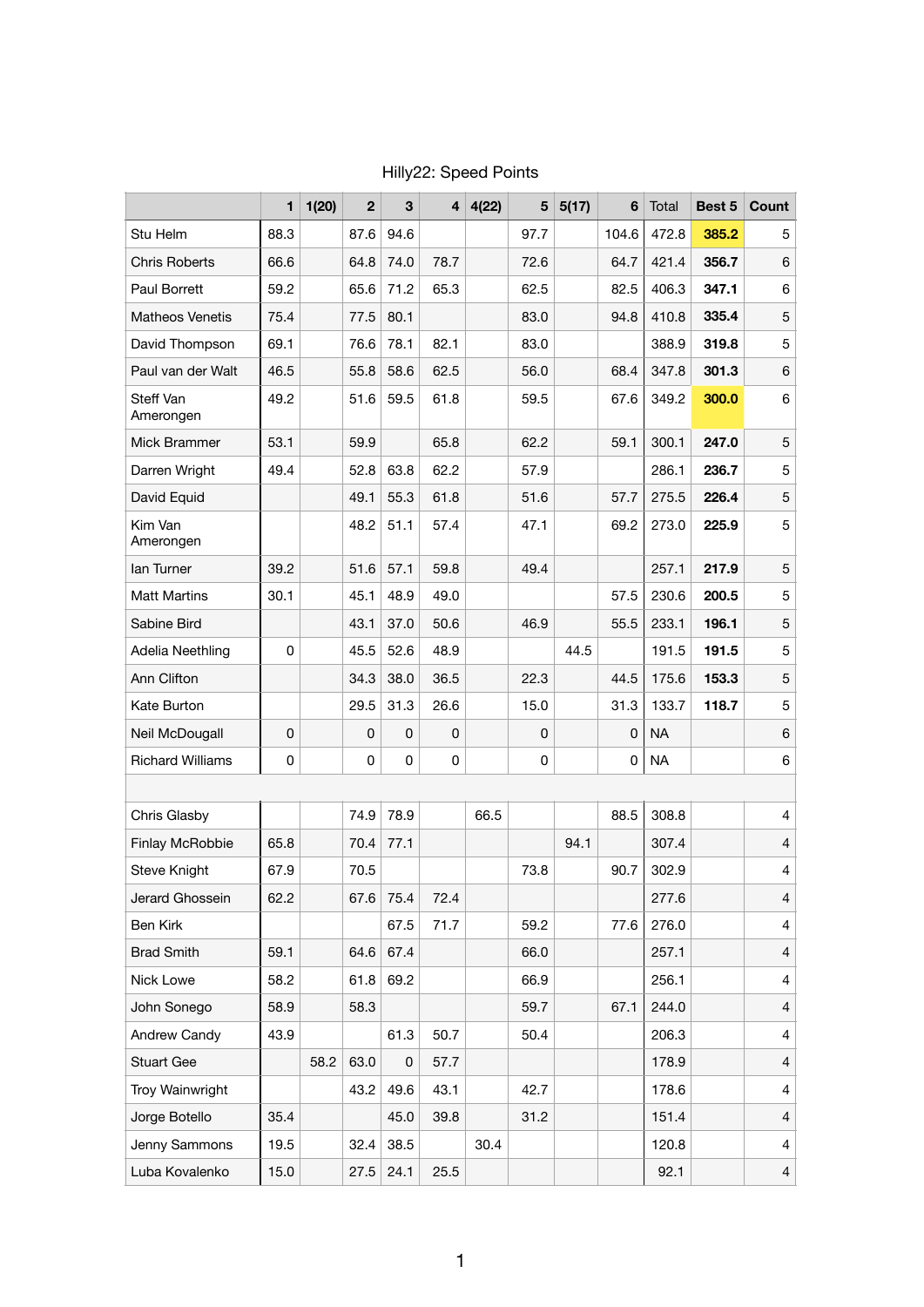|                         | 1           | 1(20) | $\mathbf{2}$ | 3        | 4    | 4(22) | 5    | 5(17) | 6           | Total     | Best 5 | Count          |
|-------------------------|-------------|-------|--------------|----------|------|-------|------|-------|-------------|-----------|--------|----------------|
| Stu Helm                | 88.3        |       | 87.6         | 94.6     |      |       | 97.7 |       | 104.6       | 472.8     | 385.2  | 5              |
| <b>Chris Roberts</b>    | 66.6        |       | 64.8         | 74.0     | 78.7 |       | 72.6 |       | 64.7        | 421.4     | 356.7  | 6              |
| <b>Paul Borrett</b>     | 59.2        |       | 65.6         | 71.2     | 65.3 |       | 62.5 |       | 82.5        | 406.3     | 347.1  | 6              |
| <b>Matheos Venetis</b>  | 75.4        |       | 77.5         | 80.1     |      |       | 83.0 |       | 94.8        | 410.8     | 335.4  | 5              |
| David Thompson          | 69.1        |       | 76.6         | 78.1     | 82.1 |       | 83.0 |       |             | 388.9     | 319.8  | 5              |
| Paul van der Walt       | 46.5        |       | 55.8         | 58.6     | 62.5 |       | 56.0 |       | 68.4        | 347.8     | 301.3  | 6              |
| Steff Van<br>Amerongen  | 49.2        |       | 51.6         | 59.5     | 61.8 |       | 59.5 |       | 67.6        | 349.2     | 300.0  | 6              |
| Mick Brammer            | 53.1        |       | 59.9         |          | 65.8 |       | 62.2 |       | 59.1        | 300.1     | 247.0  | 5              |
| Darren Wright           | 49.4        |       | 52.8         | 63.8     | 62.2 |       | 57.9 |       |             | 286.1     | 236.7  | 5              |
| David Equid             |             |       | 49.1         | 55.3     | 61.8 |       | 51.6 |       | 57.7        | 275.5     | 226.4  | 5              |
| Kim Van<br>Amerongen    |             |       | 48.2         | 51.1     | 57.4 |       | 47.1 |       | 69.2        | 273.0     | 225.9  | 5              |
| lan Turner              | 39.2        |       | 51.6         | 57.1     | 59.8 |       | 49.4 |       |             | 257.1     | 217.9  | 5              |
| <b>Matt Martins</b>     | 30.1        |       | 45.1         | 48.9     | 49.0 |       |      |       | 57.5        | 230.6     | 200.5  | 5              |
| Sabine Bird             |             |       | 43.1         | 37.0     | 50.6 |       | 46.9 |       | 55.5        | 233.1     | 196.1  | 5              |
| Adelia Neethling        | 0           |       | 45.5         | 52.6     | 48.9 |       |      | 44.5  |             | 191.5     | 191.5  | 5              |
| Ann Clifton             |             |       | 34.3         | 38.0     | 36.5 |       | 22.3 |       | 44.5        | 175.6     | 153.3  | 5              |
| Kate Burton             |             |       | 29.5         | 31.3     | 26.6 |       | 15.0 |       | 31.3        | 133.7     | 118.7  | 5              |
| Neil McDougall          | $\mathbf 0$ |       | $\mathbf 0$  | $\Omega$ | 0    |       | 0    |       | $\mathbf 0$ | <b>NA</b> |        | 6              |
| <b>Richard Williams</b> | 0           |       | 0            | 0        | 0    |       | 0    |       | 0           | <b>NA</b> |        | 6              |
|                         |             |       |              |          |      |       |      |       |             |           |        |                |
| Chris Glasby            |             |       | 74.9         | 78.9     |      | 66.5  |      |       | 88.5        | 308.8     |        | $\overline{4}$ |
| Finlay McRobbie         | 65.8        |       | 70.4         | 77.1     |      |       |      | 94.1  |             | 307.4     |        | $\overline{4}$ |
| <b>Steve Knight</b>     | 67.9        |       | 70.5         |          |      |       | 73.8 |       | 90.7        | 302.9     |        | 4              |
| Jerard Ghossein         | 62.2        |       | 67.6         | 75.4     | 72.4 |       |      |       |             | 277.6     |        | $\overline{4}$ |
| Ben Kirk                |             |       |              | 67.5     | 71.7 |       | 59.2 |       | 77.6        | 276.0     |        | 4              |
| <b>Brad Smith</b>       | 59.1        |       | 64.6         | 67.4     |      |       | 66.0 |       |             | 257.1     |        | 4              |
| Nick Lowe               | 58.2        |       | 61.8         | 69.2     |      |       | 66.9 |       |             | 256.1     |        | 4              |
| John Sonego             | 58.9        |       | 58.3         |          |      |       | 59.7 |       | 67.1        | 244.0     |        | $\overline{4}$ |
| Andrew Candy            | 43.9        |       |              | 61.3     | 50.7 |       | 50.4 |       |             | 206.3     |        | 4              |
| <b>Stuart Gee</b>       |             | 58.2  | 63.0         | 0        | 57.7 |       |      |       |             | 178.9     |        | $\overline{4}$ |
| <b>Troy Wainwright</b>  |             |       | 43.2         | 49.6     | 43.1 |       | 42.7 |       |             | 178.6     |        | 4              |
| Jorge Botello           | 35.4        |       |              | 45.0     | 39.8 |       | 31.2 |       |             | 151.4     |        | $\overline{4}$ |
| Jenny Sammons           | 19.5        |       | 32.4         | 38.5     |      | 30.4  |      |       |             | 120.8     |        | 4              |
| Luba Kovalenko          | 15.0        |       | 27.5         | 24.1     | 25.5 |       |      |       |             | 92.1      |        | $\overline{4}$ |

Hilly22: Speed Points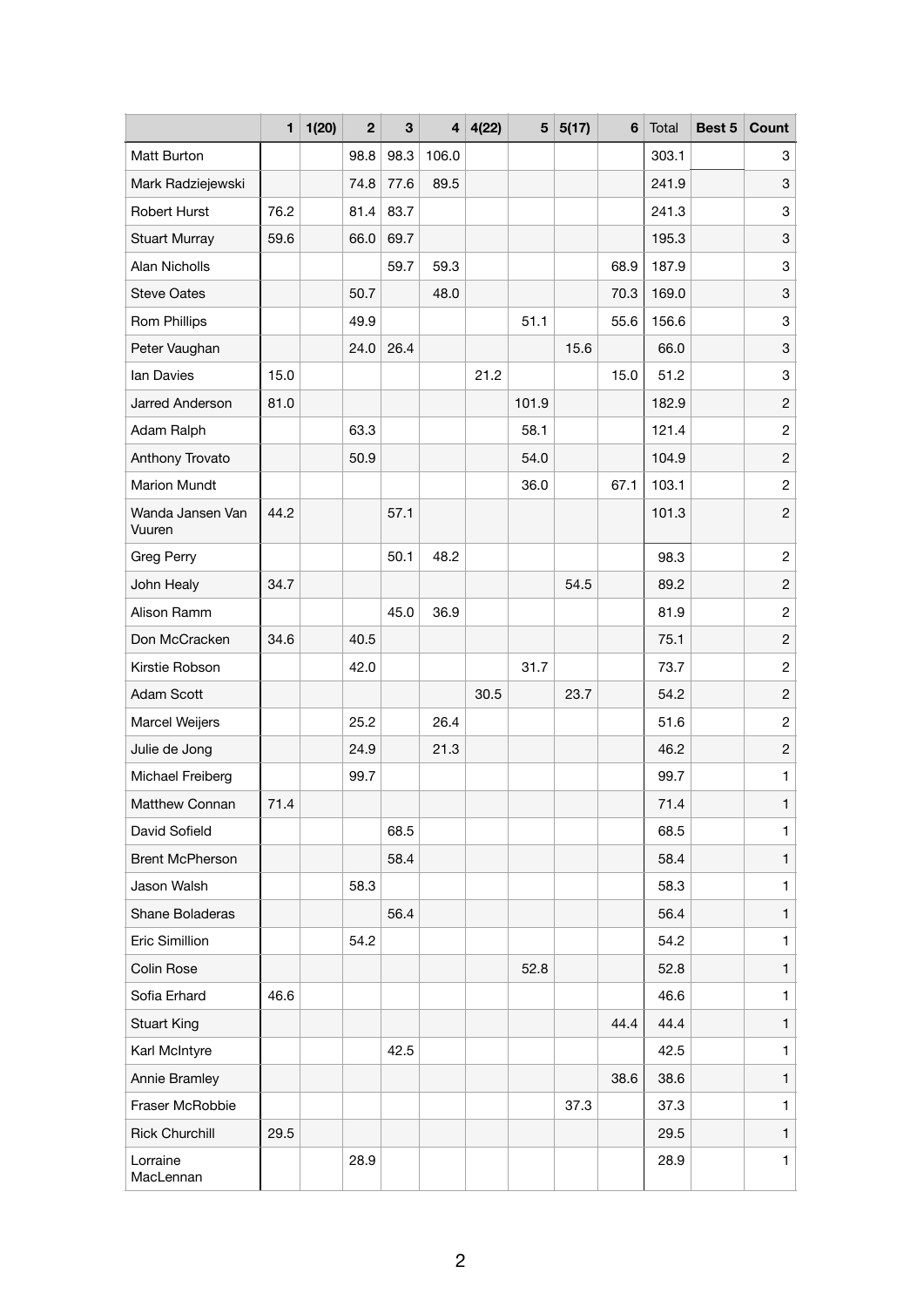|                            | 1    | 1(20) | $\mathbf 2$ | 3    | 4 <sup>1</sup> | 4(22) | 5     | 5(17) | 6    | Total | Best 5 | Count          |
|----------------------------|------|-------|-------------|------|----------------|-------|-------|-------|------|-------|--------|----------------|
| Matt Burton                |      |       | 98.8        | 98.3 | 106.0          |       |       |       |      | 303.1 |        | 3              |
| Mark Radziejewski          |      |       | 74.8        | 77.6 | 89.5           |       |       |       |      | 241.9 |        | 3              |
| <b>Robert Hurst</b>        | 76.2 |       | 81.4        | 83.7 |                |       |       |       |      | 241.3 |        | 3              |
| <b>Stuart Murray</b>       | 59.6 |       | 66.0        | 69.7 |                |       |       |       |      | 195.3 |        | 3              |
| Alan Nicholls              |      |       |             | 59.7 | 59.3           |       |       |       | 68.9 | 187.9 |        | 3              |
| <b>Steve Oates</b>         |      |       | 50.7        |      | 48.0           |       |       |       | 70.3 | 169.0 |        | 3              |
| <b>Rom Phillips</b>        |      |       | 49.9        |      |                |       | 51.1  |       | 55.6 | 156.6 |        | 3              |
| Peter Vaughan              |      |       | 24.0        | 26.4 |                |       |       | 15.6  |      | 66.0  |        | 3              |
| lan Davies                 | 15.0 |       |             |      |                | 21.2  |       |       | 15.0 | 51.2  |        | 3              |
| Jarred Anderson            | 81.0 |       |             |      |                |       | 101.9 |       |      | 182.9 |        | $\overline{c}$ |
| Adam Ralph                 |      |       | 63.3        |      |                |       | 58.1  |       |      | 121.4 |        | $\overline{c}$ |
| Anthony Trovato            |      |       | 50.9        |      |                |       | 54.0  |       |      | 104.9 |        | $\overline{c}$ |
| Marion Mundt               |      |       |             |      |                |       | 36.0  |       | 67.1 | 103.1 |        | $\overline{c}$ |
| Wanda Jansen Van<br>Vuuren | 44.2 |       |             | 57.1 |                |       |       |       |      | 101.3 |        | $\overline{c}$ |
| Greg Perry                 |      |       |             | 50.1 | 48.2           |       |       |       |      | 98.3  |        | $\overline{c}$ |
| John Healy                 | 34.7 |       |             |      |                |       |       | 54.5  |      | 89.2  |        | $\overline{c}$ |
| Alison Ramm                |      |       |             | 45.0 | 36.9           |       |       |       |      | 81.9  |        | $\overline{c}$ |
| Don McCracken              | 34.6 |       | 40.5        |      |                |       |       |       |      | 75.1  |        | $\overline{c}$ |
| Kirstie Robson             |      |       | 42.0        |      |                |       | 31.7  |       |      | 73.7  |        | $\overline{c}$ |
| Adam Scott                 |      |       |             |      |                | 30.5  |       | 23.7  |      | 54.2  |        | $\overline{c}$ |
| Marcel Weijers             |      |       | 25.2        |      | 26.4           |       |       |       |      | 51.6  |        | $\overline{c}$ |
| Julie de Jong              |      |       | 24.9        |      | 21.3           |       |       |       |      | 46.2  |        | $\overline{c}$ |
| Michael Freiberg           |      |       | 99.7        |      |                |       |       |       |      | 99.7  |        | 1              |
| <b>Matthew Connan</b>      | 71.4 |       |             |      |                |       |       |       |      | 71.4  |        | $\mathbf{1}$   |
| David Sofield              |      |       |             | 68.5 |                |       |       |       |      | 68.5  |        | $\mathbf{1}$   |
| <b>Brent McPherson</b>     |      |       |             | 58.4 |                |       |       |       |      | 58.4  |        | $\mathbf{1}$   |
| Jason Walsh                |      |       | 58.3        |      |                |       |       |       |      | 58.3  |        | $\mathbf{1}$   |
| Shane Boladeras            |      |       |             | 56.4 |                |       |       |       |      | 56.4  |        | $\mathbf{1}$   |
| Eric Simillion             |      |       | 54.2        |      |                |       |       |       |      | 54.2  |        | $\mathbf{1}$   |
| Colin Rose                 |      |       |             |      |                |       | 52.8  |       |      | 52.8  |        | $\mathbf{1}$   |
| Sofia Erhard               | 46.6 |       |             |      |                |       |       |       |      | 46.6  |        | $\mathbf{1}$   |
| <b>Stuart King</b>         |      |       |             |      |                |       |       |       | 44.4 | 44.4  |        | $\mathbf{1}$   |
| Karl McIntyre              |      |       |             | 42.5 |                |       |       |       |      | 42.5  |        | $\mathbf{1}$   |
| Annie Bramley              |      |       |             |      |                |       |       |       | 38.6 | 38.6  |        | $\mathbf{1}$   |
| Fraser McRobbie            |      |       |             |      |                |       |       | 37.3  |      | 37.3  |        | 1              |
| <b>Rick Churchill</b>      | 29.5 |       |             |      |                |       |       |       |      | 29.5  |        | $\mathbf{1}$   |
| Lorraine<br>MacLennan      |      |       | 28.9        |      |                |       |       |       |      | 28.9  |        | $\mathbf{1}$   |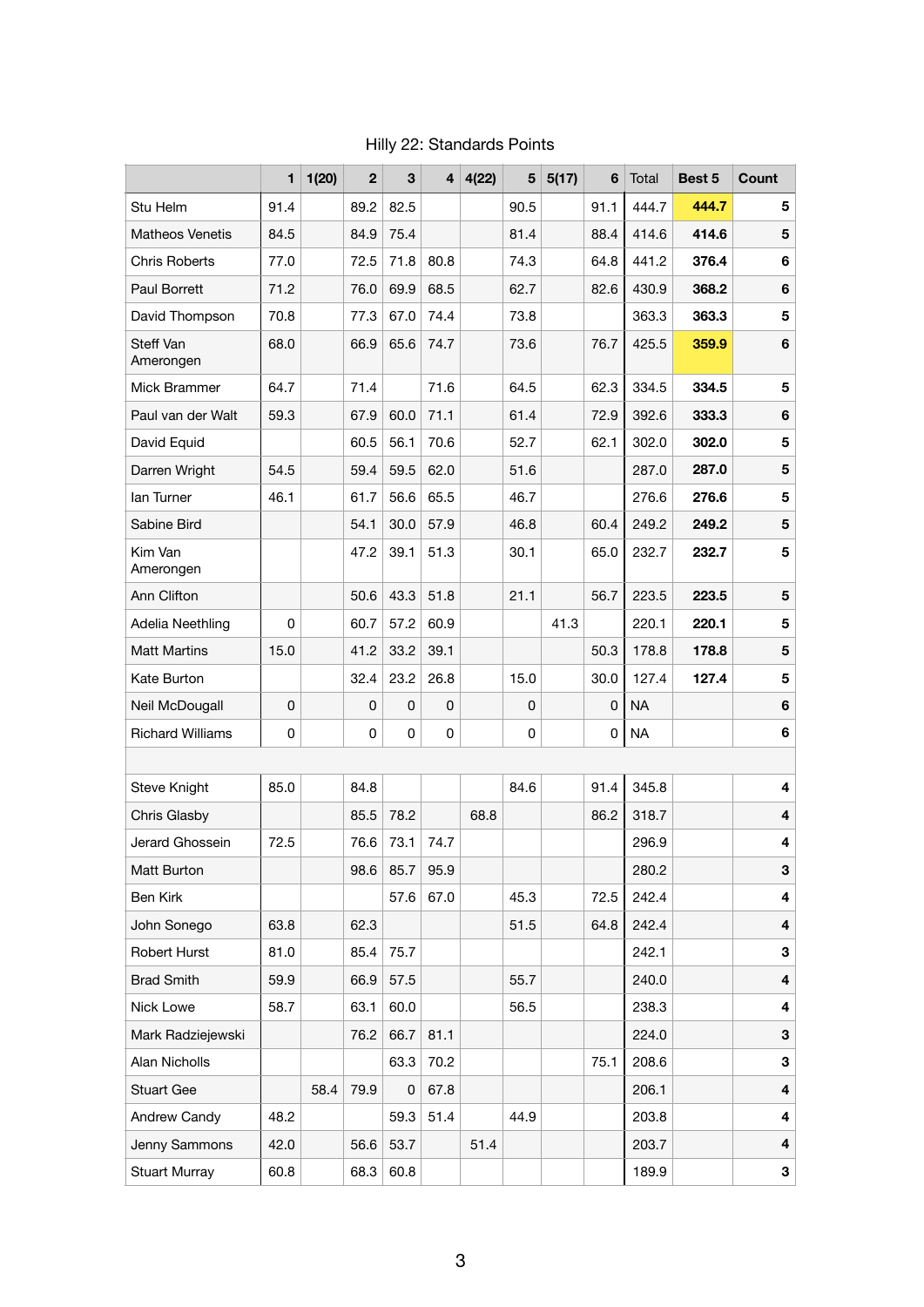|                         | 1    | 1(20) | $\mathbf{2}$ | 3           | 4    | 4(22) | 5    | 5(17) | 6    | Total     | Best 5 | Count |
|-------------------------|------|-------|--------------|-------------|------|-------|------|-------|------|-----------|--------|-------|
| Stu Helm                | 91.4 |       | 89.2         | 82.5        |      |       | 90.5 |       | 91.1 | 444.7     | 444.7  | 5     |
| <b>Matheos Venetis</b>  | 84.5 |       | 84.9         | 75.4        |      |       | 81.4 |       | 88.4 | 414.6     | 414.6  | 5     |
| <b>Chris Roberts</b>    | 77.0 |       | 72.5         | 71.8        | 80.8 |       | 74.3 |       | 64.8 | 441.2     | 376.4  | 6     |
| <b>Paul Borrett</b>     | 71.2 |       | 76.0         | 69.9        | 68.5 |       | 62.7 |       | 82.6 | 430.9     | 368.2  | 6     |
| David Thompson          | 70.8 |       | 77.3         | 67.0        | 74.4 |       | 73.8 |       |      | 363.3     | 363.3  | 5     |
| Steff Van<br>Amerongen  | 68.0 |       | 66.9         | 65.6        | 74.7 |       | 73.6 |       | 76.7 | 425.5     | 359.9  | 6     |
| Mick Brammer            | 64.7 |       | 71.4         |             | 71.6 |       | 64.5 |       | 62.3 | 334.5     | 334.5  | 5     |
| Paul van der Walt       | 59.3 |       | 67.9         | 60.0        | 71.1 |       | 61.4 |       | 72.9 | 392.6     | 333.3  | 6     |
| David Equid             |      |       | 60.5         | 56.1        | 70.6 |       | 52.7 |       | 62.1 | 302.0     | 302.0  | 5     |
| Darren Wright           | 54.5 |       | 59.4         | 59.5        | 62.0 |       | 51.6 |       |      | 287.0     | 287.0  | 5     |
| lan Turner              | 46.1 |       | 61.7         | 56.6        | 65.5 |       | 46.7 |       |      | 276.6     | 276.6  | 5     |
| Sabine Bird             |      |       | 54.1         | 30.0        | 57.9 |       | 46.8 |       | 60.4 | 249.2     | 249.2  | 5     |
| Kim Van<br>Amerongen    |      |       | 47.2         | 39.1        | 51.3 |       | 30.1 |       | 65.0 | 232.7     | 232.7  | 5     |
| Ann Clifton             |      |       | 50.6         | 43.3        | 51.8 |       | 21.1 |       | 56.7 | 223.5     | 223.5  | 5     |
| Adelia Neethling        | 0    |       | 60.7         | 57.2        | 60.9 |       |      | 41.3  |      | 220.1     | 220.1  | 5     |
| <b>Matt Martins</b>     | 15.0 |       | 41.2         | 33.2        | 39.1 |       |      |       | 50.3 | 178.8     | 178.8  | 5     |
| Kate Burton             |      |       | 32.4         | 23.2        | 26.8 |       | 15.0 |       | 30.0 | 127.4     | 127.4  | 5     |
| Neil McDougall          | 0    |       | 0            | $\mathbf 0$ | 0    |       | 0    |       | 0    | <b>NA</b> |        | 6     |
| <b>Richard Williams</b> | 0    |       | 0            | 0           | 0    |       | 0    |       | 0    | <b>NA</b> |        | 6     |
|                         |      |       |              |             |      |       |      |       |      |           |        |       |
| Steve Knight            | 85.0 |       | 84.8         |             |      |       | 84.6 |       | 91.4 | 345.8     |        | 4     |
| Chris Glasby            |      |       | 85.5         | 78.2        |      | 68.8  |      |       | 86.2 | 318.7     |        | 4     |
| Jerard Ghossein         | 72.5 |       | 76.6         | 73.1        | 74.7 |       |      |       |      | 296.9     |        | 4     |
| Matt Burton             |      |       | 98.6         | 85.7        | 95.9 |       |      |       |      | 280.2     |        | 3     |
| Ben Kirk                |      |       |              | 57.6        | 67.0 |       | 45.3 |       | 72.5 | 242.4     |        | 4     |
| John Sonego             | 63.8 |       | 62.3         |             |      |       | 51.5 |       | 64.8 | 242.4     |        | 4     |
| Robert Hurst            | 81.0 |       | 85.4         | 75.7        |      |       |      |       |      | 242.1     |        | 3     |
| <b>Brad Smith</b>       | 59.9 |       | 66.9         | 57.5        |      |       | 55.7 |       |      | 240.0     |        | 4     |
| Nick Lowe               | 58.7 |       | 63.1         | 60.0        |      |       | 56.5 |       |      | 238.3     |        | 4     |
| Mark Radziejewski       |      |       | 76.2         | 66.7        | 81.1 |       |      |       |      | 224.0     |        | 3     |
| Alan Nicholls           |      |       |              | 63.3        | 70.2 |       |      |       | 75.1 | 208.6     |        | 3     |
| <b>Stuart Gee</b>       |      | 58.4  | 79.9         | 0           | 67.8 |       |      |       |      | 206.1     |        | 4     |
| Andrew Candy            | 48.2 |       |              | 59.3        | 51.4 |       | 44.9 |       |      | 203.8     |        | 4     |
| Jenny Sammons           | 42.0 |       | 56.6         | 53.7        |      | 51.4  |      |       |      | 203.7     |        | 4     |
| <b>Stuart Murray</b>    | 60.8 |       | 68.3         | 60.8        |      |       |      |       |      | 189.9     |        | 3     |